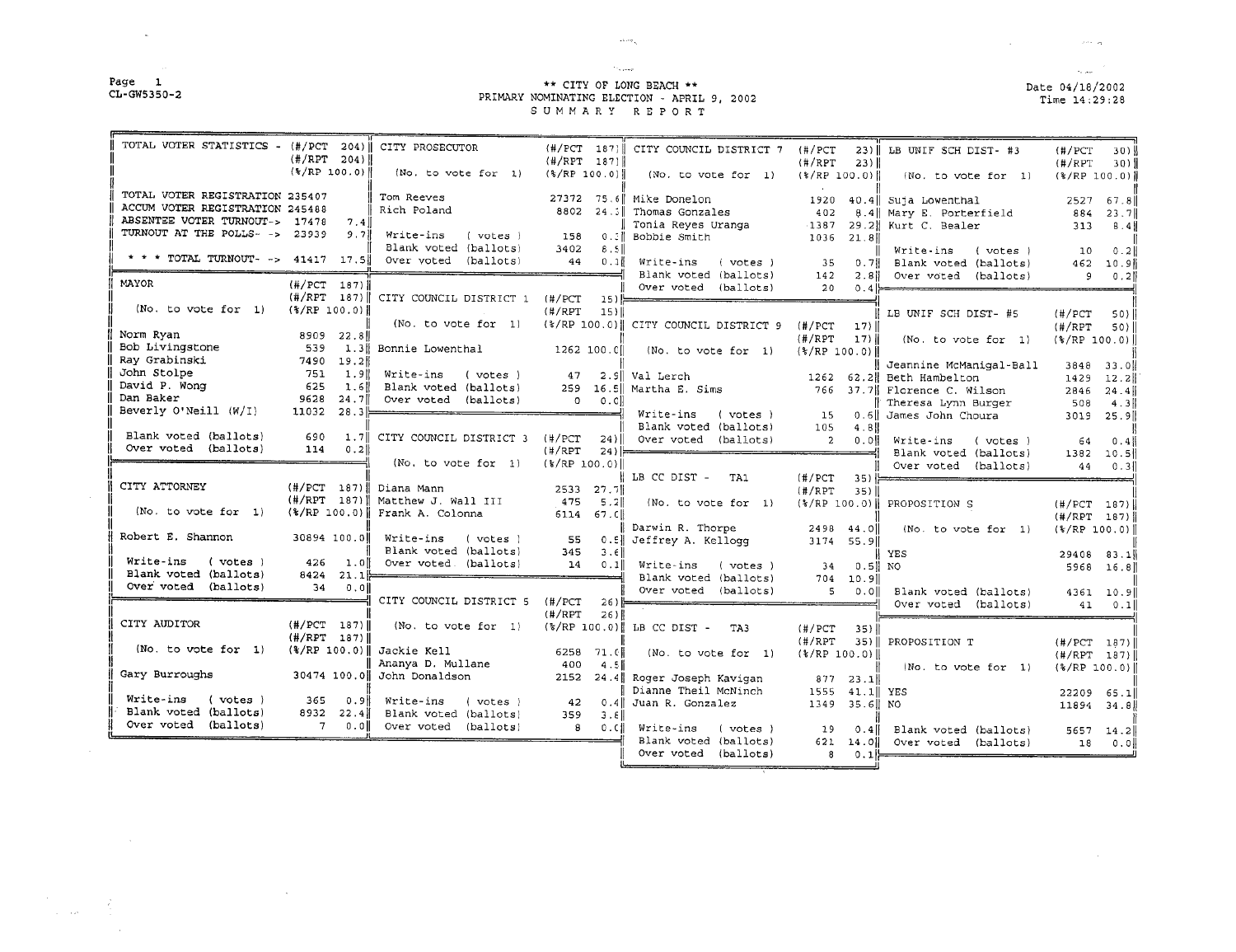# Page 1 CL-GW5350-2

 $\sim 100$ 

 $\mathcal{L}^{\text{max}}_{\text{max}}$  $\frac{1}{2}$  . The  $\frac{1}{2}$ 

 $\sim$ 

i.

## **Collage** \*\* CITY OF LONG BEACH \*\* PRIMAY NOMINATING ELECTION - APRIL 9. 2002SUMMARY REPORT

| TOTAL VOTER STATISTICS - (#/PCT 204)                       |                                           | CITY PROSECUTOR                     | (H/PCT 187)                      | CITY COUNCIL DISTRICT 7           | $(+/PCT$                     | 23)   LB UNIF SCH DIST- #3                                           |                                     |
|------------------------------------------------------------|-------------------------------------------|-------------------------------------|----------------------------------|-----------------------------------|------------------------------|----------------------------------------------------------------------|-------------------------------------|
|                                                            | $(\#/RPT)$<br>204) II                     |                                     | (H/RPT 187)                      |                                   | (H/RPT)<br>$23)$ II          |                                                                      | (H/PCT)<br>30)<br>(H/RPT)<br>30) J  |
|                                                            | $({*/RP 100.0})$                          | (No. to vote for 1)                 | $($ %/RP $100.0$ $\parallel$     | (No. to vote for 1)               | $({\frac{2}{3}}/RP \ 100.0)$ | (No. to vote for 1)                                                  | $({\frac{1}{2}}/RP \ 100.0)$        |
|                                                            |                                           |                                     |                                  |                                   |                              |                                                                      |                                     |
| TOTAL VOTER REGISTRATION 235407                            |                                           | Tom Reeves                          | 27372                            | 75.6 Mike Donelon                 | 1920<br>40.4                 | Suja Lowenthal                                                       | 2527<br>67.8                        |
| ACCUM VOTER REGISTRATION 245488                            |                                           | Rich Poland                         | 8802 24.3                        | Thomas Gonzales                   | 402<br>8.4                   | Mary E. Porterfield                                                  | 884<br>23.7                         |
| ABSENTEE VOTER TURNOUT-> 17478<br>TURNOUT AT THE POLLS- -> | 7.4                                       |                                     |                                  | Tonia Reves Uranga                | $-1387$                      | 29.2 Kurt C. Bealer                                                  | 313<br>8.41                         |
|                                                            | 23939<br>9.71                             | Write-ins<br>(votes)                | 158<br>0.31                      | Bobbie Smith                      | 1036<br>21.8                 |                                                                      |                                     |
| * * * TOTAL TURNOUT- -> 41417 17.5                         |                                           | Blank voted (ballots)               | 3402<br>8.5                      |                                   |                              | Write-ins<br>( votes )                                               | 10<br>0.2 <sub>1</sub>              |
|                                                            |                                           | Over voted (ballots)                | 44<br>0.1                        | Write-ins<br>( votes )            | 35<br>0.71                   | Blank voted (ballots)                                                | 462<br>10.9                         |
| MAYOR                                                      | $(\# /$ PCT<br>187) ll                    |                                     |                                  | Blank voted (ballots)             | 142<br>2.81                  | Over voted (ballots)                                                 | 9<br>0.2                            |
|                                                            | (H/RPT)<br>187)                           | CITY COUNCIL DISTRICT 1 (#/PCT      |                                  | Over voted (ballots)<br>15) I     | 20                           | 0.4 $\rightarrow$                                                    |                                     |
| (No. to vote for 1)                                        | $({\frac{1}{2}}/RP 100.0)$                |                                     | (H/RPT)<br>15)                   |                                   |                              | LB UNIF SCH DIST- #5                                                 |                                     |
|                                                            |                                           | (No. to vote for 1)                 | $\{$ $\sqrt[3]{RP}$ 100, 0) $\ $ | CITY COUNCIL DISTRICT 9           | (H/PCT)<br>$17$ }            |                                                                      | $(+/PCT$<br>$50$ )<br>(H/RPT)<br>50 |
| Norm Ryan                                                  | 8909<br>22.8                              |                                     |                                  |                                   | (H/RPT)<br>$17$ ) il         | (No. to vote for 1)                                                  | $({\frac{2}{3}}/RP \ 100.0)$        |
| Bob Livingstone                                            | 539<br>1.3                                | Bonnie Lowenthal                    | 1262 100.0                       | (No. to vote for 1)               | $({\frac{1}{2}}/RP 100.0)$   |                                                                      |                                     |
| Ray Grabinski                                              | 7490<br>19.2                              |                                     |                                  |                                   |                              | Jeannine McManigal-Ball                                              | 3848<br>33.01                       |
| John Stolpe                                                | 751<br><b>1.9</b>                         | Write-ins<br>( votes )              | 47                               | 2.9 Val Lerch                     |                              | 1262 62.2 Beth Hambelton                                             | 1429<br>12.2                        |
| David P. Wong                                              | 625<br>1.6                                | Blank voted (ballots)               | 259<br>16.5                      | Martha E. Sims                    | 766<br>37.71                 | Florence C. Wilson                                                   | 24.4<br>2846                        |
| Dan Baker                                                  | 9628<br>24.7                              | Over voted (ballots)                | $\circ$<br>0.0                   |                                   |                              | Theresa Lynn Burger                                                  | 508<br>4.3                          |
| Beverly O'Neill (W/I)                                      | 11032<br>28.3                             |                                     |                                  | Write-ins<br>( votes )            | 15<br>0.6                    | James John Choura                                                    | 25.9<br>3019                        |
|                                                            |                                           |                                     |                                  | Blank voted (ballots)             | 105<br>4.8                   |                                                                      |                                     |
| Blank voted (ballots)<br>Over voted (ballots)              | 690<br>1.7                                | CITY COUNCIL DISTRICT 3             | (#/PCT<br>$24$ )                 | Over voted (ballots)              | $\overline{2}$<br>0.0        | Write-ins<br>( votes )                                               | 64<br>0.4                           |
|                                                            | 114<br>0.2                                |                                     | $(\frac{1}{2}$ /RPT              |                                   |                              | Blank voted (ballots)                                                | 1382<br>10.5                        |
|                                                            |                                           | (No, to vote for 1)                 | $({\frac{8}{R}P100.0})$          |                                   |                              | Over voted (ballots)                                                 | 44<br>0.31                          |
| CITY ATTORNEY                                              | (# / PCT)<br>187)                         | Diana Mann                          |                                  | LB CC DIST -<br>TA1               | (H/PCT)                      |                                                                      | $-$                                 |
|                                                            | (H/RPT 187)                               | Matthew J. Wall III                 | 2533 27.7<br>475<br>5.2          |                                   | (H/RPT)<br>$35$ )            |                                                                      |                                     |
| (No. to vote for 1)                                        | $\left( \frac{2}{3} / RP \ 100.0 \right)$ | Frank A. Colonna                    | $6114$ $67.0$                    | (No. to vote for 1)               |                              | $\langle \frac{1}{2} \times \frac{1}{2} 100.0 \rangle$ PROPOSITION S | (H/PCT 187)                         |
|                                                            |                                           |                                     |                                  | Darwin R. Thorpe                  | 2498                         |                                                                      | $(\#/\RPT)$<br>187)                 |
| Robert E. Shannon                                          | 30894 100.0                               | Write-ins<br>( votes )              | 55<br>0.5                        | Jeffrey A. Kelloqq                | 44.01<br>55.91<br>3174       | (No. to vote for 1)                                                  | $({\frac{6}{2}}/RP 100.0)$          |
|                                                            |                                           | Blank voted (ballots)               | 345<br>3.6                       |                                   |                              | YES                                                                  | 29408<br>83.1                       |
| Write-ins<br>( votes )                                     | 426<br>-1.0 lf                            | Over voted (ballots)                | 14<br>0.1                        | Write-ins<br>( votes )            | 0.5<br>34                    | NO.                                                                  | 5968<br>16.8                        |
| Blank voted (ballots)                                      | 21.1<br>8424                              |                                     |                                  | Blank voted (ballots)             | 704 10.9                     |                                                                      |                                     |
| Over voted (ballots)                                       | 34<br>0.0                                 |                                     |                                  | Over voted (ballots)              | $5^{\circ}$<br>o.oll         | Blank voted (ballots)                                                | 4361<br>10.9                        |
|                                                            |                                           | CITY COUNCIL DISTRICT 5             | (H/PCT)<br>26) 분                 |                                   |                              | Over voted (ballots)                                                 | 41<br>0.1                           |
|                                                            |                                           |                                     | (H/RPT)<br>$26$ ) $\parallel$    |                                   |                              |                                                                      |                                     |
| CITY AUDITOR                                               | (#/PCT 187)                               | (No. to vote for 1)                 |                                  | (%/RP 100.0)  LB CC DIST -<br>TA3 | (H/PCT)<br>35)               |                                                                      |                                     |
| (No. to vote for 1)                                        | (H/RPT 187)                               |                                     |                                  |                                   | (H/RPT)<br>35) ll            | PROPOSITION T                                                        | (H/PCT 187)                         |
|                                                            | $({\frac{1}{2}}/RP \ 100.0)$              | Jackie Kell                         | 6258 71.0                        | (No. to vote for 1)               | $({\frac{1}{2}}/RP \ 100.0)$ |                                                                      | $($ # $/$ RPT<br>187                |
| Gary Burroughs                                             | 30474 100.0 l                             | Ananya D. Mullane<br>John Donaldson | 400<br>4.5                       |                                   |                              | (No. to vote for 1)                                                  | $({\frac{2}{3}}/RP 100.0)$          |
|                                                            |                                           |                                     |                                  | 2152 24.4 Roger Joseph Kavigan    | $877$ 23.1                   |                                                                      |                                     |
| Write-ins<br>( votes )                                     | 365<br>0.9                                | Write-ins<br>( votes )              | 42<br>0.4                        | Dianne Theil McNinch              | 1555                         | 41.1   YES                                                           | 22209<br>65.1                       |
| Blank voted (ballots)                                      | 8932<br>22.4                              | Blank voted (ballots)               | 359<br>3.8                       | Juan R. Gonzalez                  | 1349<br>35.6                 | NO                                                                   | 11894<br>34.8                       |
| Over voted<br>(ballots)                                    | $7^{\circ}$<br>0.0                        | Over voted (ballots)                | 8<br>0.0                         | Write-ins<br>( votes )            | 29<br>0.4                    |                                                                      |                                     |
|                                                            |                                           |                                     |                                  | Blank voted (ballots)             | 621<br>14.01                 | Blank voted (ballots)<br>Over voted (ballots)                        | 5657<br>14.2<br>18                  |
|                                                            |                                           |                                     |                                  | Over voted (ballots)              | 8                            | $0.1$ $\rightarrow$                                                  | 0.0                                 |
|                                                            |                                           |                                     |                                  |                                   |                              |                                                                      |                                     |

 $\sim$   $\sim$ Date 04/18/2002Time 14: 29: 28

 $\label{eq:3.1} \mathcal{L}(\mathbf{x}) = \mathcal{L}(\mathbf{x}) \mathcal{L}(\mathbf{x}) = \mathcal{L}(\mathbf{x}) \mathcal{L}(\mathbf{x}) \mathbf{d} \mathbf{x}$